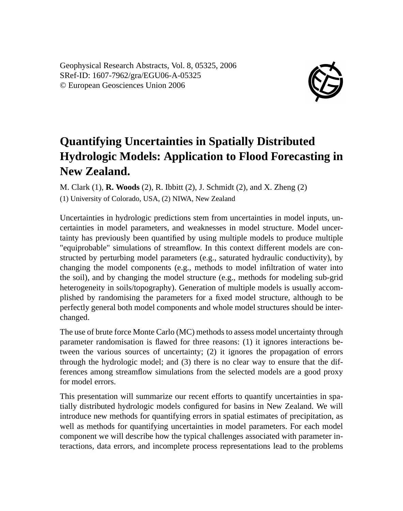Geophysical Research Abstracts, Vol. 8, 05325, 2006 SRef-ID: 1607-7962/gra/EGU06-A-05325 © European Geosciences Union 2006



## **Quantifying Uncertainties in Spatially Distributed Hydrologic Models: Application to Flood Forecasting in New Zealand.**

M. Clark (1), **R. Woods** (2), R. Ibbitt (2), J. Schmidt (2), and X. Zheng (2)

(1) University of Colorado, USA, (2) NIWA, New Zealand

Uncertainties in hydrologic predictions stem from uncertainties in model inputs, uncertainties in model parameters, and weaknesses in model structure. Model uncertainty has previously been quantified by using multiple models to produce multiple "equiprobable" simulations of streamflow. In this context different models are constructed by perturbing model parameters (e.g., saturated hydraulic conductivity), by changing the model components (e.g., methods to model infiltration of water into the soil), and by changing the model structure (e.g., methods for modeling sub-grid heterogeneity in soils/topography). Generation of multiple models is usually accomplished by randomising the parameters for a fixed model structure, although to be perfectly general both model components and whole model structures should be interchanged.

The use of brute force Monte Carlo (MC) methods to assess model uncertainty through parameter randomisation is flawed for three reasons: (1) it ignores interactions between the various sources of uncertainty; (2) it ignores the propagation of errors through the hydrologic model; and (3) there is no clear way to ensure that the differences among streamflow simulations from the selected models are a good proxy for model errors.

This presentation will summarize our recent efforts to quantify uncertainties in spatially distributed hydrologic models configured for basins in New Zealand. We will introduce new methods for quantifying errors in spatial estimates of precipitation, as well as methods for quantifying uncertainties in model parameters. For each model component we will describe how the typical challenges associated with parameter interactions, data errors, and incomplete process representations lead to the problems